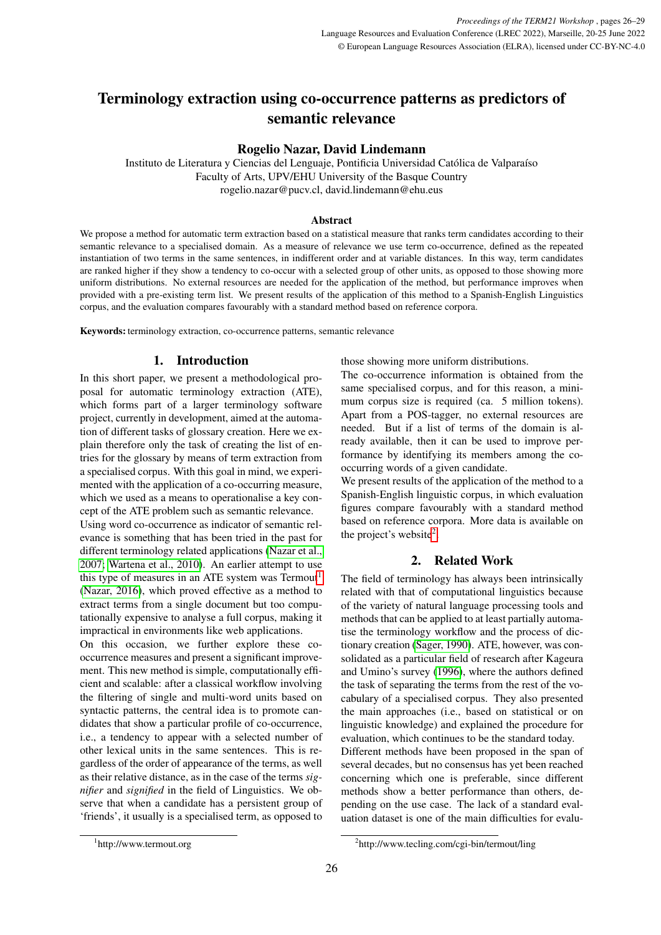# Terminology extraction using co-occurrence patterns as predictors of semantic relevance

## Rogelio Nazar, David Lindemann

Instituto de Literatura y Ciencias del Lenguaje, Pontificia Universidad Católica de Valparaí so Faculty of Arts, UPV/EHU University of the Basque Country rogelio.nazar@pucv.cl, david.lindemann@ehu.eus

## Abstract

We propose a method for automatic term extraction based on a statistical measure that ranks term candidates according to their semantic relevance to a specialised domain. As a measure of relevance we use term co-occurrence, defined as the repeated instantiation of two terms in the same sentences, in indifferent order and at variable distances. In this way, term candidates are ranked higher if they show a tendency to co-occur with a selected group of other units, as opposed to those showing more uniform distributions. No external resources are needed for the application of the method, but performance improves when provided with a pre-existing term list. We present results of the application of this method to a Spanish-English Linguistics corpus, and the evaluation compares favourably with a standard method based on reference corpora.

Keywords: terminology extraction, co-occurrence patterns, semantic relevance

## 1. Introduction

In this short paper, we present a methodological proposal for automatic terminology extraction (ATE), which forms part of a larger terminology software project, currently in development, aimed at the automation of different tasks of glossary creation. Here we explain therefore only the task of creating the list of entries for the glossary by means of term extraction from a specialised corpus. With this goal in mind, we experimented with the application of a co-occurring measure, which we used as a means to operationalise a key concept of the ATE problem such as semantic relevance.

Using word co-occurrence as indicator of semantic relevance is something that has been tried in the past for different terminology related applications [\(Nazar et al.,](#page-3-0) [2007;](#page-3-0) [Wartena et al., 2010\)](#page-3-1). An earlier attempt to use this type of measures in an ATE system was  $Termout<sup>1</sup>$  $Termout<sup>1</sup>$  $Termout<sup>1</sup>$ [\(Nazar, 2016\)](#page-3-2), which proved effective as a method to extract terms from a single document but too computationally expensive to analyse a full corpus, making it impractical in environments like web applications.

On this occasion, we further explore these cooccurrence measures and present a significant improvement. This new method is simple, computationally efficient and scalable: after a classical workflow involving the filtering of single and multi-word units based on syntactic patterns, the central idea is to promote candidates that show a particular profile of co-occurrence, i.e., a tendency to appear with a selected number of other lexical units in the same sentences. This is regardless of the order of appearance of the terms, as well as their relative distance, as in the case of the terms *signifier* and *signified* in the field of Linguistics. We observe that when a candidate has a persistent group of 'friends', it usually is a specialised term, as opposed to those showing more uniform distributions.

The co-occurrence information is obtained from the same specialised corpus, and for this reason, a minimum corpus size is required (ca. 5 million tokens). Apart from a POS-tagger, no external resources are needed. But if a list of terms of the domain is already available, then it can be used to improve performance by identifying its members among the cooccurring words of a given candidate.

We present results of the application of the method to a Spanish-English linguistic corpus, in which evaluation figures compare favourably with a standard method based on reference corpora. More data is available on the project's website<sup>[2](#page-0-1)</sup>.

## 2. Related Work

<span id="page-0-2"></span>The field of terminology has always been intrinsically related with that of computational linguistics because of the variety of natural language processing tools and methods that can be applied to at least partially automatise the terminology workflow and the process of dictionary creation [\(Sager, 1990\)](#page-3-3). ATE, however, was consolidated as a particular field of research after Kageura and Umino's survey [\(1996\)](#page-3-4), where the authors defined the task of separating the terms from the rest of the vocabulary of a specialised corpus. They also presented the main approaches (i.e., based on statistical or on linguistic knowledge) and explained the procedure for evaluation, which continues to be the standard today. Different methods have been proposed in the span of several decades, but no consensus has yet been reached concerning which one is preferable, since different methods show a better performance than others, depending on the use case. The lack of a standard evaluation dataset is one of the main difficulties for evalu-

<span id="page-0-0"></span><sup>1</sup> http://www.termout.org

<span id="page-0-1"></span><sup>2</sup> http://www.tecling.com/cgi-bin/termout/ling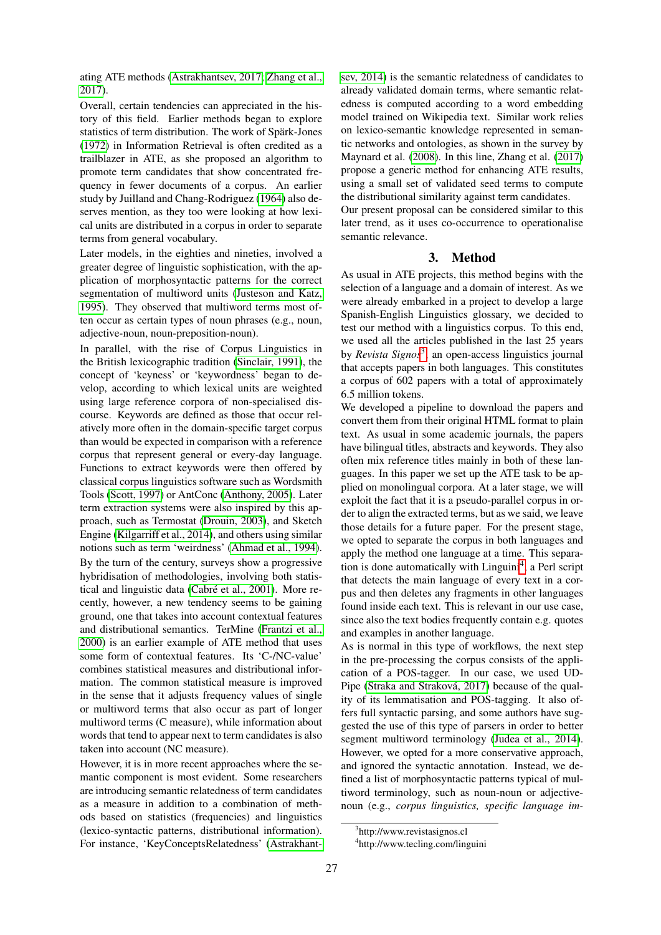ating ATE methods [\(Astrakhantsev, 2017;](#page-3-5) [Zhang et al.,](#page-3-6) [2017\)](#page-3-6).

Overall, certain tendencies can appreciated in the history of this field. Earlier methods began to explore statistics of term distribution. The work of Spärk-Jones [\(1972\)](#page-3-7) in Information Retrieval is often credited as a trailblazer in ATE, as she proposed an algorithm to promote term candidates that show concentrated frequency in fewer documents of a corpus. An earlier study by Juilland and Chang-Rodriguez [\(1964\)](#page-3-8) also deserves mention, as they too were looking at how lexical units are distributed in a corpus in order to separate terms from general vocabulary.

Later models, in the eighties and nineties, involved a greater degree of linguistic sophistication, with the application of morphosyntactic patterns for the correct segmentation of multiword units [\(Justeson and Katz,](#page-3-9) [1995\)](#page-3-9). They observed that multiword terms most often occur as certain types of noun phrases (e.g., noun, adjective-noun, noun-preposition-noun).

In parallel, with the rise of Corpus Linguistics in the British lexicographic tradition [\(Sinclair, 1991\)](#page-3-10), the concept of 'keyness' or 'keywordness' began to develop, according to which lexical units are weighted using large reference corpora of non-specialised discourse. Keywords are defined as those that occur relatively more often in the domain-specific target corpus than would be expected in comparison with a reference corpus that represent general or every-day language. Functions to extract keywords were then offered by classical corpus linguistics software such as Wordsmith Tools [\(Scott, 1997\)](#page-3-11) or AntConc [\(Anthony, 2005\)](#page-3-12). Later term extraction systems were also inspired by this approach, such as Termostat [\(Drouin, 2003\)](#page-3-13), and Sketch Engine [\(Kilgarriff et al., 2014\)](#page-3-14), and others using similar notions such as term 'weirdness' [\(Ahmad et al., 1994\)](#page-3-15). By the turn of the century, surveys show a progressive hybridisation of methodologies, involving both statistical and linguistic data (Cabré et al., 2001). More recently, however, a new tendency seems to be gaining ground, one that takes into account contextual features and distributional semantics. TerMine [\(Frantzi et al.,](#page-3-17) [2000\)](#page-3-17) is an earlier example of ATE method that uses some form of contextual features. Its 'C-/NC-value' combines statistical measures and distributional information. The common statistical measure is improved in the sense that it adjusts frequency values of single or multiword terms that also occur as part of longer multiword terms (C measure), while information about words that tend to appear next to term candidates is also taken into account (NC measure).

However, it is in more recent approaches where the semantic component is most evident. Some researchers are introducing semantic relatedness of term candidates as a measure in addition to a combination of methods based on statistics (frequencies) and linguistics (lexico-syntactic patterns, distributional information). For instance, 'KeyConceptsRelatedness' [\(Astrakhant-](#page-3-18) [sev, 2014\)](#page-3-18) is the semantic relatedness of candidates to already validated domain terms, where semantic relatedness is computed according to a word embedding model trained on Wikipedia text. Similar work relies on lexico-semantic knowledge represented in semantic networks and ontologies, as shown in the survey by Maynard et al. [\(2008\)](#page-3-19). In this line, Zhang et al. [\(2017\)](#page-3-6) propose a generic method for enhancing ATE results, using a small set of validated seed terms to compute the distributional similarity against term candidates.

Our present proposal can be considered similar to this later trend, as it uses co-occurrence to operationalise semantic relevance.

#### 3. Method

As usual in ATE projects, this method begins with the selection of a language and a domain of interest. As we were already embarked in a project to develop a large Spanish-English Linguistics glossary, we decided to test our method with a linguistics corpus. To this end, we used all the articles published in the last 25 years by *Revista Signos*<sup>[3](#page-1-0)</sup>, an open-access linguistics journal that accepts papers in both languages. This constitutes a corpus of 602 papers with a total of approximately 6.5 million tokens.

We developed a pipeline to download the papers and convert them from their original HTML format to plain text. As usual in some academic journals, the papers have bilingual titles, abstracts and keywords. They also often mix reference titles mainly in both of these languages. In this paper we set up the ATE task to be applied on monolingual corpora. At a later stage, we will exploit the fact that it is a pseudo-parallel corpus in order to align the extracted terms, but as we said, we leave those details for a future paper. For the present stage, we opted to separate the corpus in both languages and apply the method one language at a time. This separa-tion is done automatically with Linguini<sup>[4](#page-1-1)</sup>, a Perl script that detects the main language of every text in a corpus and then deletes any fragments in other languages found inside each text. This is relevant in our use case, since also the text bodies frequently contain e.g. quotes and examples in another language.

As is normal in this type of workflows, the next step in the pre-processing the corpus consists of the application of a POS-tagger. In our case, we used UD-Pipe (Straka and Straková, 2017) because of the quality of its lemmatisation and POS-tagging. It also offers full syntactic parsing, and some authors have suggested the use of this type of parsers in order to better segment multiword terminology [\(Judea et al., 2014\)](#page-3-21). However, we opted for a more conservative approach, and ignored the syntactic annotation. Instead, we defined a list of morphosyntactic patterns typical of multiword terminology, such as noun-noun or adjectivenoun (e.g., *corpus linguistics, specific language im-*

<span id="page-1-0"></span><sup>3</sup> http://www.revistasignos.cl

<span id="page-1-1"></span><sup>4</sup> http://www.tecling.com/linguini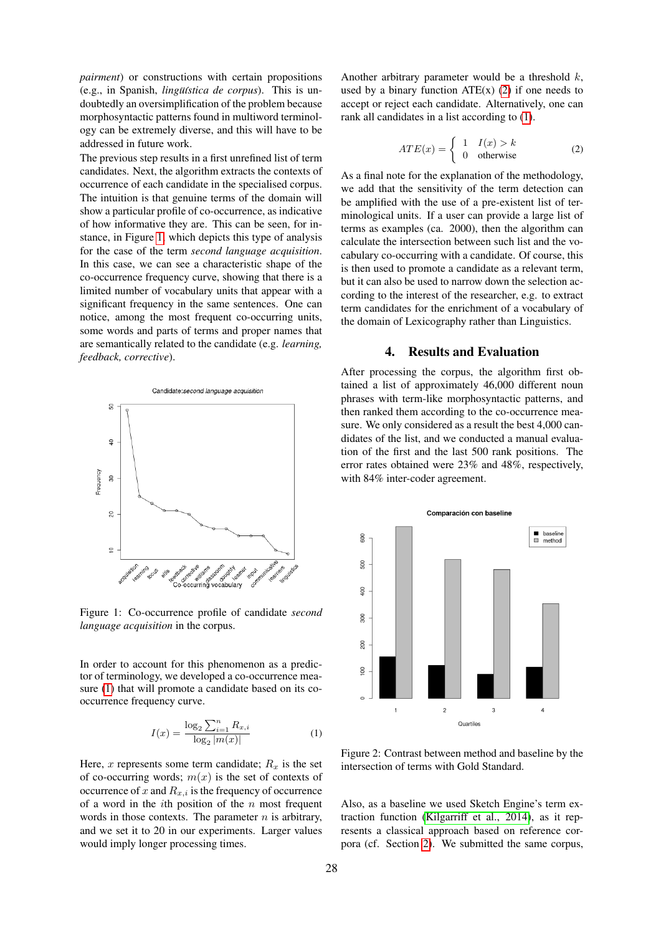*pairment*) or constructions with certain propositions (e.g., in Spanish, *lingüística de corpus*). This is undoubtedly an oversimplification of the problem because morphosyntactic patterns found in multiword terminology can be extremely diverse, and this will have to be addressed in future work.

The previous step results in a first unrefined list of term candidates. Next, the algorithm extracts the contexts of occurrence of each candidate in the specialised corpus. The intuition is that genuine terms of the domain will show a particular profile of co-occurrence, as indicative of how informative they are. This can be seen, for instance, in Figure [1,](#page-2-0) which depicts this type of analysis for the case of the term *second language acquisition*. In this case, we can see a characteristic shape of the co-occurrence frequency curve, showing that there is a limited number of vocabulary units that appear with a significant frequency in the same sentences. One can notice, among the most frequent co-occurring units, some words and parts of terms and proper names that are semantically related to the candidate (e.g. *learning, feedback, corrective*).



<span id="page-2-0"></span>Figure 1: Co-occurrence profile of candidate *second language acquisition* in the corpus.

In order to account for this phenomenon as a predictor of terminology, we developed a co-occurrence measure [\(1\)](#page-2-1) that will promote a candidate based on its cooccurrence frequency curve.

<span id="page-2-1"></span>
$$
I(x) = \frac{\log_2 \sum_{i=1}^{n} R_{x,i}}{\log_2 |m(x)|}
$$
 (1)

Here,  $x$  represents some term candidate;  $R_x$  is the set of co-occurring words;  $m(x)$  is the set of contexts of occurrence of  $x$  and  $R_{x,i}$  is the frequency of occurrence of a word in the  $i$ th position of the  $n$  most frequent words in those contexts. The parameter  $n$  is arbitrary, and we set it to 20 in our experiments. Larger values would imply longer processing times.

Another arbitrary parameter would be a threshold  $k$ , used by a binary function  $ATE(x)$  [\(2\)](#page-2-2) if one needs to accept or reject each candidate. Alternatively, one can rank all candidates in a list according to [\(1\)](#page-2-1).

<span id="page-2-2"></span>
$$
ATE(x) = \begin{cases} 1 & I(x) > k \\ 0 & \text{otherwise} \end{cases}
$$
 (2)

As a final note for the explanation of the methodology, we add that the sensitivity of the term detection can be amplified with the use of a pre-existent list of terminological units. If a user can provide a large list of terms as examples (ca. 2000), then the algorithm can calculate the intersection between such list and the vocabulary co-occurring with a candidate. Of course, this is then used to promote a candidate as a relevant term, but it can also be used to narrow down the selection according to the interest of the researcher, e.g. to extract term candidates for the enrichment of a vocabulary of the domain of Lexicography rather than Linguistics.

## 4. Results and Evaluation

After processing the corpus, the algorithm first obtained a list of approximately 46,000 different noun phrases with term-like morphosyntactic patterns, and then ranked them according to the co-occurrence measure. We only considered as a result the best 4,000 candidates of the list, and we conducted a manual evaluation of the first and the last 500 rank positions. The error rates obtained were 23% and 48%, respectively, with 84% inter-coder agreement.



<span id="page-2-3"></span>Figure 2: Contrast between method and baseline by the intersection of terms with Gold Standard.

Also, as a baseline we used Sketch Engine's term extraction function [\(Kilgarriff et al., 2014\)](#page-3-14), as it represents a classical approach based on reference corpora (cf. Section [2\)](#page-0-2). We submitted the same corpus,